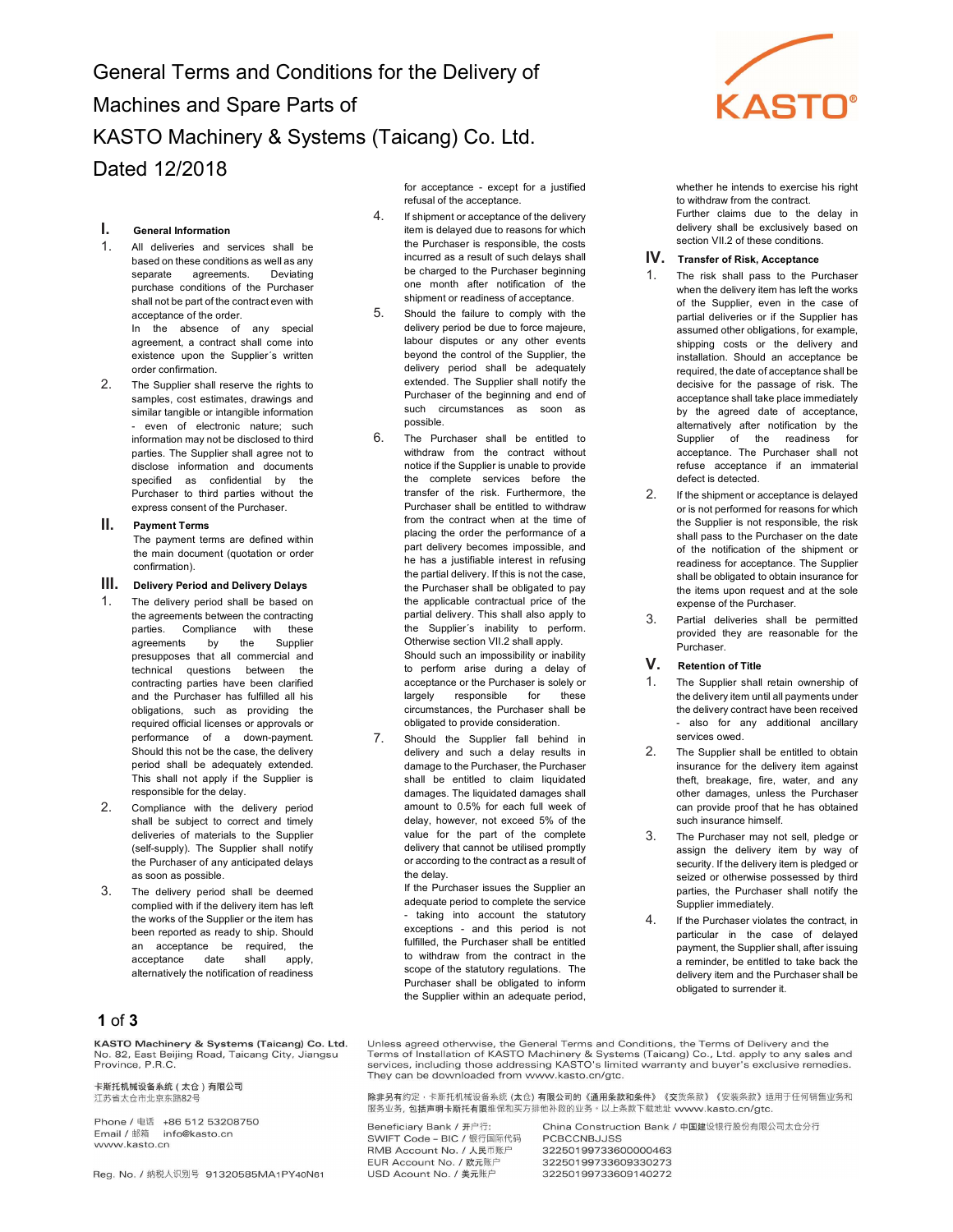General Terms and Conditions for the Delivery of Machines and Spare Parts of KASTO Machinery & Systems (Taicang) Co. Ltd. Dated 12/2018

## I. General Information

1. All deliveries and services shall be based on these conditions as well as any separate agreements. Deviating purchase conditions of the Purchaser shall not be part of the contract even with acceptance of the order. In the absence of any special agreement, a contract shall come into existence upon the Supplier´s written

order confirmation. 2. The Supplier shall reserve the rights to samples, cost estimates, drawings and similar tangible or intangible information - even of electronic nature; such information may not be disclosed to third parties. The Supplier shall agree not to disclose information and documents specified as confidential by the Purchaser to third parties without the

express consent of the Purchaser.

### II. Payment Terms

The payment terms are defined within the main document (quotation or order confirmation).

#### III. Delivery Period and Delivery Delays

- The delivery period shall be based on the agreements between the contracting parties. Compliance with these agreements by the Supplier presupposes that all commercial and technical questions between the contracting parties have been clarified and the Purchaser has fulfilled all his obligations, such as providing the required official licenses or approvals or performance of a down-payment. Should this not be the case, the delivery period shall be adequately extended. This shall not apply if the Supplier is responsible for the delay.
- 2. Compliance with the delivery period shall be subject to correct and timely deliveries of materials to the Supplier (self-supply). The Supplier shall notify the Purchaser of any anticipated delays as soon as possible.
- 3. The delivery period shall be deemed complied with if the delivery item has left the works of the Supplier or the item has been reported as ready to ship. Should an acceptance be required, the acceptance date shall apply, alternatively the notification of readiness

# 1 of 3

KASTO Machinery & Systems (Taicang) Co. Ltd. KASTO Machinery & Systems (Talcang) Co. Ltd<br>No. 82, East Beijing Road, Taicang City, Jiangsu<br>Province, P.R.C.

卡斯托机械设备系统 (太仓)有限公司 汀苏省大仓市北京东路82号

Phone / 电话 +86 512 53208750 Email / 邮箱 info@kasto.cn www.kasto.cn

Reg. No. / 纳税人识别号 91320585MA1PY40N61

for acceptance - except for a justified refusal of the acceptance.

- 4. If shipment or acceptance of the delivery item is delayed due to reasons for which the Purchaser is responsible, the costs incurred as a result of such delays shall be charged to the Purchaser beginning one month after notification of the shipment or readiness of acceptance.
- 5. Should the failure to comply with the delivery period be due to force majeure, labour disputes or any other events beyond the control of the Supplier, the delivery period shall be adequately extended. The Supplier shall notify the Purchaser of the beginning and end of such circumstances as soon as possible.
- 6. The Purchaser shall be entitled to withdraw from the contract without notice if the Supplier is unable to provide the complete services before the transfer of the risk. Furthermore, the Purchaser shall be entitled to withdraw from the contract when at the time of placing the order the performance of a part delivery becomes impossible, and he has a justifiable interest in refusing the partial delivery. If this is not the case, the Purchaser shall be obligated to pay the applicable contractual price of the partial delivery. This shall also apply to the Supplier´s inability to perform. Otherwise section VII.2 shall apply. Should such an impossibility or inability to perform arise during a delay of

acceptance or the Purchaser is solely or largely responsible for these circumstances, the Purchaser shall be obligated to provide consideration. 7. Should the Supplier fall behind in

delivery and such a delay results in damage to the Purchaser, the Purchaser shall be entitled to claim liquidated damages. The liquidated damages shall amount to 0.5% for each full week of delay, however, not exceed 5% of the value for the part of the complete delivery that cannot be utilised promptly or according to the contract as a result of the delay.

If the Purchaser issues the Supplier an adequate period to complete the service - taking into account the statutory exceptions - and this period is not fulfilled, the Purchaser shall be entitled to withdraw from the contract in the scope of the statutory regulations. The Purchaser shall be obligated to inform the Supplier within an adequate period,



whether he intends to exercise his right to withdraw from the contract. Further claims due to the delay in delivery shall be exclusively based on section VII.2 of these conditions.

#### IV. Transfer of Risk, Acceptance

- 1. The risk shall pass to the Purchaser when the delivery item has left the works of the Supplier, even in the case of partial deliveries or if the Supplier has assumed other obligations, for example, shipping costs or the delivery and installation. Should an acceptance be required, the date of acceptance shall be decisive for the passage of risk. The acceptance shall take place immediately by the agreed date of acceptance, alternatively after notification by the Supplier of the readiness for acceptance. The Purchaser shall not refuse acceptance if an immaterial defect is detected.
- 2. If the shipment or acceptance is delayed or is not performed for reasons for which the Supplier is not responsible, the risk shall pass to the Purchaser on the date of the notification of the shipment or readiness for acceptance. The Supplier shall be obligated to obtain insurance for the items upon request and at the sole expense of the Purchaser.
- Partial deliveries shall be permitted provided they are reasonable for the Purchaser.

## V. Retention of Title

- The Supplier shall retain ownership of the delivery item until all payments under the delivery contract have been received - also for any additional ancillary services owed.
- 2. The Supplier shall be entitled to obtain insurance for the delivery item against theft, breakage, fire, water, and any other damages, unless the Purchaser can provide proof that he has obtained such insurance himself.
- 3. The Purchaser may not sell, pledge or assign the delivery item by way of security. If the delivery item is pledged or seized or otherwise possessed by third parties, the Purchaser shall notify the Supplier immediately.
- 4. If the Purchaser violates the contract, in particular in the case of delayed payment, the Supplier shall, after issuing a reminder, be entitled to take back the delivery item and the Purchaser shall be obligated to surrender it.

Unless agreed otherwise, the General Terms and Conditions, the Terms of Delivery and the Terms of Installation of KASTO Machinery & Systems (Taicang) Co., Ltd. apply to any sales and services, including those addressing KASTO's limited warranty and buyer's exclusive remedies. They can be downloaded from www.kasto.cn/gtc.

除非另有约定,卡斯托机械设备系统 (太仓) 有限公司的《通用条款和条件》《交货条款》《安装条款》适用于任何销售业务和 服务业务,包括声明卡斯托有限维保和买方排他补救的业务。以上条款下载地址 www.kasto.cn/gtc.

Beneficiary Bank / 开户行: SWIFT Code - BIC / 银行国际代码 RMB Account No. / 人民币账户 EUR Account No. / 欧元账户 USD Acount No. / 美元账户

China Construction Bank / 中国建设银行股份有限公司太仓分行 **PCBCCNBJJSS** 32250199733600000463 32250199733609330273 32250199733609140272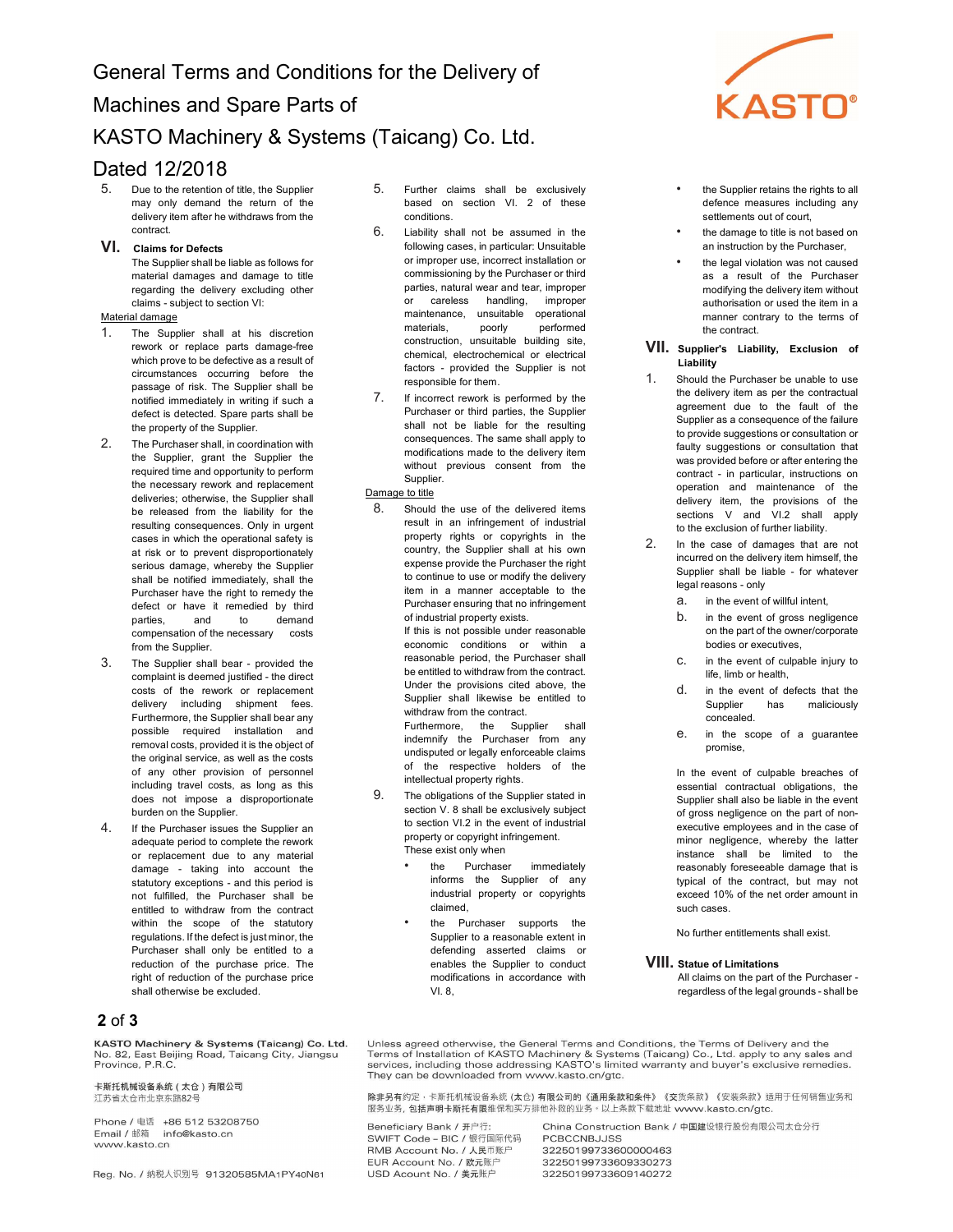# Dated 12/2018

5. Due to the retention of title, the Supplier may only demand the return of the delivery item after he withdraws from the contract.

## VI. Claims for Defects

The Supplier shall be liable as follows for material damages and damage to title regarding the delivery excluding other claims - subject to section VI:

## Material damage

- 1. The Supplier shall at his discretion rework or replace parts damage-free which prove to be defective as a result of circumstances occurring before the passage of risk. The Supplier shall be notified immediately in writing if such a defect is detected. Spare parts shall be the property of the Supplier.
- 2. The Purchaser shall, in coordination with the Supplier, grant the Supplier the required time and opportunity to perform the necessary rework and replacement deliveries; otherwise, the Supplier shall be released from the liability for the resulting consequences. Only in urgent cases in which the operational safety is at risk or to prevent disproportionately serious damage, whereby the Supplier shall be notified immediately, shall the Purchaser have the right to remedy the defect or have it remedied by third parties, and to demand compensation of the necessary costs from the Supplier.
- 3. The Supplier shall bear provided the complaint is deemed justified - the direct costs of the rework or replacement delivery including shipment fees. Furthermore, the Supplier shall bear any possible required installation and removal costs, provided it is the object of the original service, as well as the costs of any other provision of personnel including travel costs, as long as this does not impose a disproportionate burden on the Supplier.
- 4. If the Purchaser issues the Supplier an adequate period to complete the rework or replacement due to any material damage - taking into account the statutory exceptions - and this period is not fulfilled, the Purchaser shall be entitled to withdraw from the contract within the scope of the statutory regulations. If the defect is just minor, the Purchaser shall only be entitled to a reduction of the purchase price. The right of reduction of the purchase price shall otherwise be excluded.

# 2 of 3

KASTO Machinery & Systems (Taicang) Co. Ltd. KASTO Machinery & Systems (Talcang) Co. Lt<br>No. 82, East Beijing Road, Taicang City, Jiangsu<br>Province, P.R.C.

卡斯托机械设备系统 (太仓)有限公司 汀苏省大仓市北京东路82号

Phone / 电话 +86 512 53208750 Email / 邮箱 info@kasto.cn www.kasto.cn

Reg. No. / 纳税人识别号 91320585MA1PY40N61

- 5. Further claims shall be exclusively based on section VI. 2 of these conditions.
- 6. Liability shall not be assumed in the following cases, in particular: Unsuitable or improper use, incorrect installation or commissioning by the Purchaser or third parties, natural wear and tear, improper or careless handling, improper maintenance, unsuitable operational materials, poorly performed construction, unsuitable building site, chemical, electrochemical or electrical factors - provided the Supplier is not responsible for them.
- 7. If incorrect rework is performed by the Purchaser or third parties, the Supplier shall not be liable for the resulting consequences. The same shall apply to modifications made to the delivery item without previous consent from the Supplier.

## Damage to title

8. Should the use of the delivered items result in an infringement of industrial property rights or copyrights in the country, the Supplier shall at his own expense provide the Purchaser the right to continue to use or modify the delivery item in a manner acceptable to the Purchaser ensuring that no infringement of industrial property exists.

> If this is not possible under reasonable economic conditions or within a reasonable period, the Purchaser shall be entitled to withdraw from the contract. Under the provisions cited above, the Supplier shall likewise be entitled to withdraw from the contract.

Furthermore, the Supplier shall indemnify the Purchaser from any undisputed or legally enforceable claims of the respective holders of the intellectual property rights.

- 9. The obligations of the Supplier stated in section V. 8 shall be exclusively subject to section VI.2 in the event of industrial property or copyright infringement. These exist only when
	- the Purchaser immediately informs the Supplier of any industrial property or copyrights claimed,
	- the Purchaser supports the Supplier to a reasonable extent in defending asserted claims or enables the Supplier to conduct modifications in accordance with VI. 8,



- the Supplier retains the rights to all defence measures including any settlements out of court,
- the damage to title is not based on an instruction by the Purchaser,
- the legal violation was not caused as a result of the Purchaser modifying the delivery item without authorisation or used the item in a manner contrary to the terms of the contract.

### VII. Supplier's Liability, Exclusion of Liability

- 1. Should the Purchaser be unable to use the delivery item as per the contractual agreement due to the fault of the Supplier as a consequence of the failure to provide suggestions or consultation or faulty suggestions or consultation that was provided before or after entering the contract - in particular, instructions on operation and maintenance of the delivery item, the provisions of the sections V and VI.2 shall apply to the exclusion of further liability.
- 2. In the case of damages that are not incurred on the delivery item himself, the Supplier shall be liable - for whatever legal reasons - only
	- a. in the event of willful intent,
	- b. in the event of gross negligence on the part of the owner/corporate bodies or executives,
	- c. in the event of culpable injury to life, limb or health,
	- d. in the event of defects that the Supplier has maliciously concealed.
	- e. in the scope of a guarantee promise,

In the event of culpable breaches of essential contractual obligations, the Supplier shall also be liable in the event of gross negligence on the part of nonexecutive employees and in the case of minor negligence, whereby the latter instance shall be limited to the reasonably foreseeable damage that is typical of the contract, but may not exceed 10% of the net order amount in such cases.

No further entitlements shall exist.

## VIII. Statue of Limitations

All claims on the part of the Purchaser regardless of the legal grounds - shall be

Unless agreed otherwise, the General Terms and Conditions, the Terms of Delivery and the Terms of Installation of KASTO Machinery & Systems (Taicang) Co., Ltd. apply to any sales and services, including those addressing KASTO's limited warranty and buyer's exclusive remedies. They can be downloaded from www.kasto.cn/gtc.

除非另有约定,卡斯托机械设备系统 (太仓) 有限公司的《通用条款和条件》《交货条款》《安装条款》适用于任何销售业务和 服务业务,包括声明卡斯托有限维保和买方排他补救的业务。以上条款下载地址 www.kasto.cn/gtc.

Beneficiary Bank / 开户行: SWIFT Code - BIC / 银行国际代码 RMB Account No. / 人民币账户 EUR Account No. / 欧元账户 USD Acount No. / 美元账户

China Construction Bank / 中国建设银行股份有限公司太仓分行 **PCBCCNBJJSS** 32250199733600000463 32250199733609330273 32250199733609140272